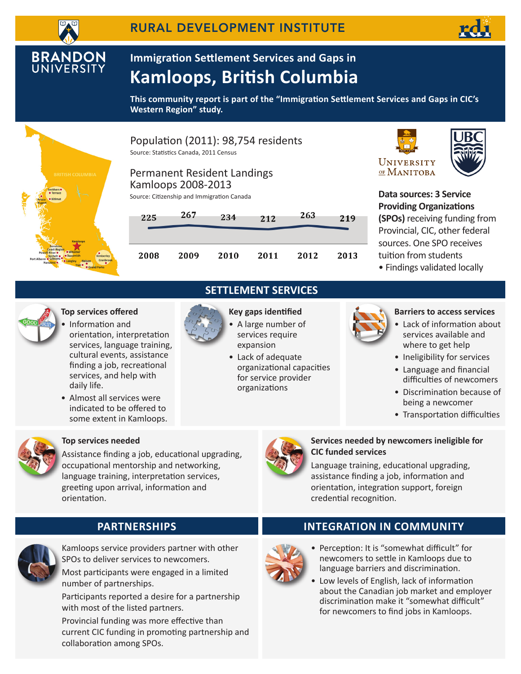**BRANDON**<br>UNIVERSITY

# **Immigration Settlement Services and Gaps in Kamloops, British Columbia**

**This community report is part of the "Immigration Settlement Services and Gaps in CIC's Western Region" study.**



Population (2011): 98,754 residents Source: Statistics Canada, 2011 Census







**Data sources: 3 Service Providing Organizations (SPOs)** receiving funding from Provincial, CIC, other federal sources. One SPO receives tuition from students

• Findings validated locally



## **Top services offered**

- Information and orientation, interpretation services, language training, cultural events, assistance finding a job, recreational services, and help with daily life.
- Almost all services were indicated to be offered to some extent in Kamloops.



# **SETTLEMENT SERVICES Key gaps identified**

- A large number of services require expansion
	- Lack of adequate organizational capacities for service provider organizations



#### **Barriers to access services**

- Lack of information about services available and where to get help
- Ineligibility for services
- Language and financial difficulties of newcomers
- Discrimination because of being a newcomer
- Transportation difficulties



## **Top services needed**

Assistance finding a job, educational upgrading, occupational mentorship and networking, language training, interpretation services, greeting upon arrival, information and orientation.



### **Services needed by newcomers ineligible for CIC funded services**

Language training, educational upgrading, assistance finding a job, information and orientation, integration support, foreign credential recognition.



Kamloops service providers partner with other SPOs to deliver services to newcomers. Most participants were engaged in a limited

number of partnerships. Participants reported a desire for a partnership with most of the listed partners.

Provincial funding was more effective than current CIC funding in promoting partnership and collaboration among SPOs.

# **PArtnerships INTEGRATION IN COMMUNITY**



- Perception: It is "somewhat difficult" for newcomers to settle in Kamloops due to language barriers and discrimination.
- Low levels of English, lack of information about the Canadian job market and employer discrimination make it "somewhat difficult" for newcomers to find jobs in Kamloops.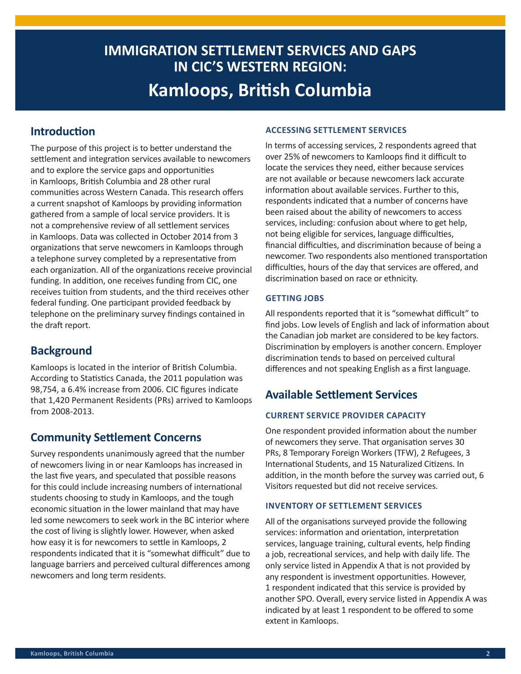# **IMMIGRATION SETTLEMENT SERVICES AND GAPS IN CIC'S WESTERN REGION: Kamloops, British Columbia**

# **Introduction**

The purpose of this project is to better understand the settlement and integration services available to newcomers and to explore the service gaps and opportunities in Kamloops, British Columbia and 28 other rural communities across Western Canada. This research offers a current snapshot of Kamloops by providing information gathered from a sample of local service providers. It is not a comprehensive review of all settlement services in Kamloops. Data was collected in October 2014 from 3 organizations that serve newcomers in Kamloops through a telephone survey completed by a representative from each organization. All of the organizations receive provincial funding. In addition, one receives funding from CIC, one receives tuition from students, and the third receives other federal funding. One participant provided feedback by telephone on the preliminary survey findings contained in the draft report.

# **Background**

Kamloops is located in the interior of British Columbia. According to Statistics Canada, the 2011 population was 98,754, a 6.4% increase from 2006. CIC figures indicate that 1,420 Permanent Residents (PRs) arrived to Kamloops from 2008-2013.

# **Community Settlement Concerns**

Survey respondents unanimously agreed that the number of newcomers living in or near Kamloops has increased in the last five years, and speculated that possible reasons for this could include increasing numbers of international students choosing to study in Kamloops, and the tough economic situation in the lower mainland that may have led some newcomers to seek work in the BC interior where the cost of living is slightly lower. However, when asked how easy it is for newcomers to settle in Kamloops, 2 respondents indicated that it is "somewhat difficult" due to language barriers and perceived cultural differences among newcomers and long term residents.

#### **Accessing settlement services**

In terms of accessing services, 2 respondents agreed that over 25% of newcomers to Kamloops find it difficult to locate the services they need, either because services are not available or because newcomers lack accurate information about available services. Further to this, respondents indicated that a number of concerns have been raised about the ability of newcomers to access services, including: confusion about where to get help, not being eligible for services, language difficulties, financial difficulties, and discrimination because of being a newcomer. Two respondents also mentioned transportation difficulties, hours of the day that services are offered, and discrimination based on race or ethnicity.

#### **Getting jobs**

All respondents reported that it is "somewhat difficult" to find jobs. Low levels of English and lack of information about the Canadian job market are considered to be key factors. Discrimination by employers is another concern. Employer discrimination tends to based on perceived cultural differences and not speaking English as a first language.

# **Available Settlement Services**

### **Current service provider capacity**

One respondent provided information about the number of newcomers they serve. That organisation serves 30 PRs, 8 Temporary Foreign Workers (TFW), 2 Refugees, 3 International Students, and 15 Naturalized Citizens. In addition, in the month before the survey was carried out, 6 Visitors requested but did not receive services.

#### **Inventory of settlement services**

All of the organisations surveyed provide the following services: information and orientation, interpretation services, language training, cultural events, help finding a job, recreational services, and help with daily life. The only service listed in Appendix A that is not provided by any respondent is investment opportunities. However, 1 respondent indicated that this service is provided by another SPO. Overall, every service listed in Appendix A was indicated by at least 1 respondent to be offered to some extent in Kamloops.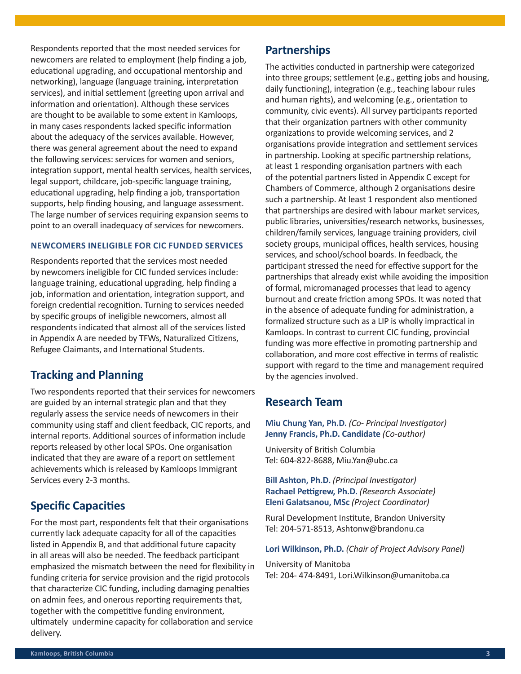Respondents reported that the most needed services for newcomers are related to employment (help finding a job, educational upgrading, and occupational mentorship and networking), language (language training, interpretation services), and initial settlement (greeting upon arrival and information and orientation). Although these services are thought to be available to some extent in Kamloops, in many cases respondents lacked specific information about the adequacy of the services available. However, there was general agreement about the need to expand the following services: services for women and seniors, integration support, mental health services, health services, legal support, childcare, job-specific language training, educational upgrading, help finding a job, transportation supports, help finding housing, and language assessment. The large number of services requiring expansion seems to point to an overall inadequacy of services for newcomers.

#### **Newcomers ineligible for CIC funded services**

Respondents reported that the services most needed by newcomers ineligible for CIC funded services include: language training, educational upgrading, help finding a job, information and orientation, integration support, and foreign credential recognition. Turning to services needed by specific groups of ineligible newcomers, almost all respondents indicated that almost all of the services listed in Appendix A are needed by TFWs, Naturalized Citizens, Refugee Claimants, and International Students.

# **Tracking and Planning**

Two respondents reported that their services for newcomers are guided by an internal strategic plan and that they regularly assess the service needs of newcomers in their community using staff and client feedback, CIC reports, and internal reports. Additional sources of information include reports released by other local SPOs. One organisation indicated that they are aware of a report on settlement achievements which is released by Kamloops Immigrant Services every 2-3 months.

# **Specific Capacities**

For the most part, respondents felt that their organisations currently lack adequate capacity for all of the capacities listed in Appendix B, and that additional future capacity in all areas will also be needed. The feedback participant emphasized the mismatch between the need for flexibility in funding criteria for service provision and the rigid protocols that characterize CIC funding, including damaging penalties on admin fees, and onerous reporting requirements that, together with the competitive funding environment, ultimately undermine capacity for collaboration and service delivery.

## **Partnerships**

The activities conducted in partnership were categorized into three groups; settlement (e.g., getting jobs and housing, daily functioning), integration (e.g., teaching labour rules and human rights), and welcoming (e.g., orientation to community, civic events). All survey participants reported that their organization partners with other community organizations to provide welcoming services, and 2 organisations provide integration and settlement services in partnership. Looking at specific partnership relations, at least 1 responding organisation partners with each of the potential partners listed in Appendix C except for Chambers of Commerce, although 2 organisations desire such a partnership. At least 1 respondent also mentioned that partnerships are desired with labour market services, public libraries, universities/research networks, businesses, children/family services, language training providers, civil society groups, municipal offices, health services, housing services, and school/school boards. In feedback, the participant stressed the need for effective support for the partnerships that already exist while avoiding the imposition of formal, micromanaged processes that lead to agency burnout and create friction among SPOs. It was noted that in the absence of adequate funding for administration, a formalized structure such as a LIP is wholly impractical in Kamloops. In contrast to current CIC funding, provincial funding was more effective in promoting partnership and collaboration, and more cost effective in terms of realistic support with regard to the time and management required by the agencies involved.

# **Research Team**

**Miu Chung Yan, Ph.D.** *(Co- Principal Investigator)* **Jenny Francis, Ph.D. Candidate** *(Co-author)*

University of British Columbia Tel: 604-822-8688, Miu.Yan@ubc.ca

**Bill Ashton, Ph.D.** *(Principal Investigator)* **Rachael Pettigrew, Ph.D.** *(Research Associate)*  **Eleni Galatsanou, MSc** *(Project Coordinator)*

Rural Development Institute, Brandon University Tel: 204-571-8513, Ashtonw@brandonu.ca

#### **Lori Wilkinson, Ph.D.** *(Chair of Project Advisory Panel)*

University of Manitoba Tel: 204- 474-8491, Lori.Wilkinson@umanitoba.ca